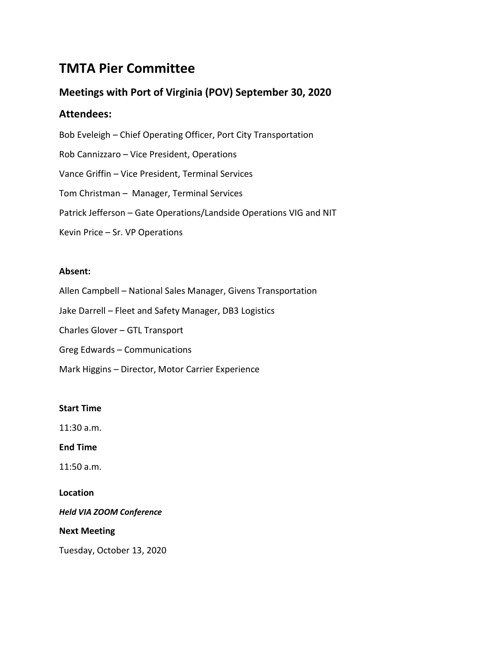# **TMTA Pier Committee**

# **Meetings with Port of Virginia (POV) September 30, 2020**

# **Attendees:**

Bob Eveleigh – Chief Operating Officer, Port City Transportation Rob Cannizzaro – Vice President, Operations Vance Griffin – Vice President, Terminal Services Tom Christman – Manager, Terminal Services Patrick Jefferson – Gate Operations/Landside Operations VIG and NIT Kevin Price – Sr. VP Operations

## **Absent:**

Allen Campbell – National Sales Manager, Givens Transportation

Jake Darrell – Fleet and Safety Manager, DB3 Logistics

Charles Glover – GTL Transport

Greg Edwards – Communications

Mark Higgins – Director, Motor Carrier Experience

### **Start Time**

11:30 a.m.

**End Time**

11:50 a.m.

### **Location**

*Held VIA ZOOM Conference*

### **Next Meeting**

Tuesday, October 13, 2020